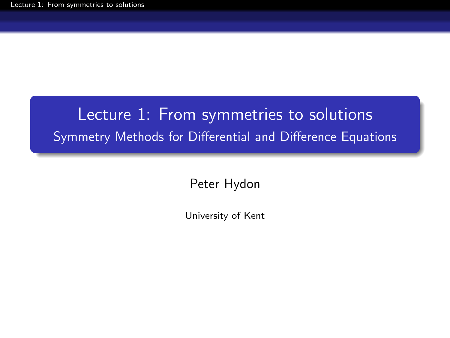# <span id="page-0-0"></span>Lecture 1: From symmetries to solutions Symmetry Methods for Differential and Difference Equations

Peter Hydon

University of Kent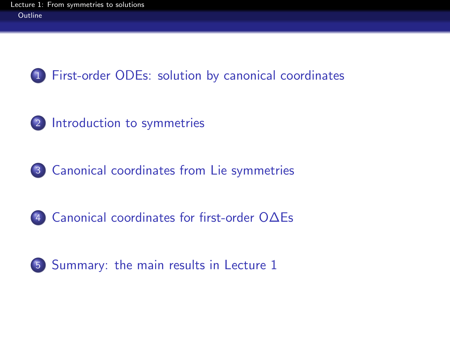

- [Introduction to symmetries](#page-6-0)
- [Canonical coordinates from Lie symmetries](#page-14-0)
- [Canonical coordinates for first-order O∆Es](#page-17-0)

<span id="page-1-0"></span>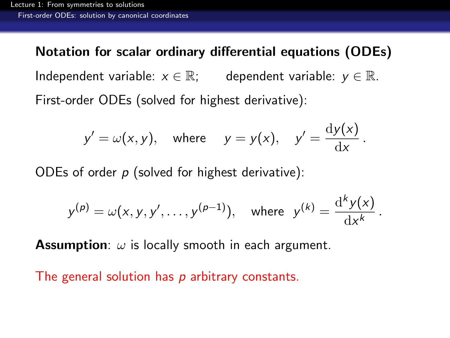Notation for scalar ordinary differential equations (ODEs) Independent variable:  $x \in \mathbb{R}$ ; dependent variable:  $y \in \mathbb{R}$ . First-order ODEs (solved for highest derivative):

$$
y' = \omega(x, y)
$$
, where  $y = y(x)$ ,  $y' = \frac{dy(x)}{dx}$ .

ODEs of order  $p$  (solved for highest derivative):

$$
y^{(p)} = \omega(x, y, y', \dots, y^{(p-1)}),
$$
 where  $y^{(k)} = \frac{d^k y(x)}{dx^k}$ .

**Assumption:**  $\omega$  is locally smooth in each argument.

<span id="page-2-0"></span>The general solution has  $p$  arbitrary constants.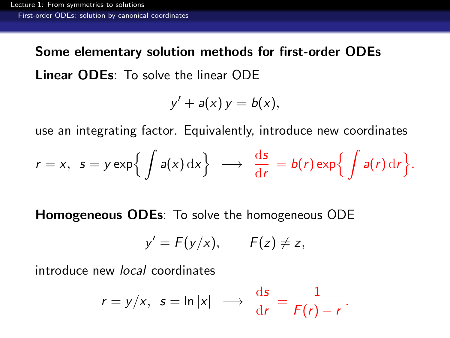Some elementary solution methods for first-order ODEs Linear ODEs: To solve the linear ODE

$$
y' + a(x) y = b(x),
$$

use an integrating factor. Equivalently, introduce new coordinates

$$
r = x
$$
,  $s = y \exp\left\{ \int a(x) dx \right\} \longrightarrow \frac{ds}{dr} = b(r) \exp\left\{ \int a(r) dr \right\}.$ 

Homogeneous ODEs: To solve the homogeneous ODE

$$
y'=F(y/x), \qquad F(z)\neq z,
$$

<span id="page-3-0"></span>introduce new local coordinates

$$
r = y/x
$$
,  $s = \ln |x| \longrightarrow \frac{ds}{dr} = \frac{1}{F(r) - r}$ .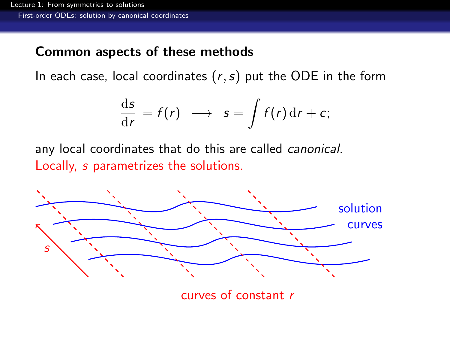#### Common aspects of these methods

In each case, local coordinates  $(r, s)$  put the ODE in the form

$$
\frac{\mathrm{d}s}{\mathrm{d}r}=f(r)\ \longrightarrow\ s=\int f(r)\,\mathrm{d}r+c;
$$

any local coordinates that do this are called canonical. Locally, s parametrizes the solutions.

<span id="page-4-0"></span>

curves of constant r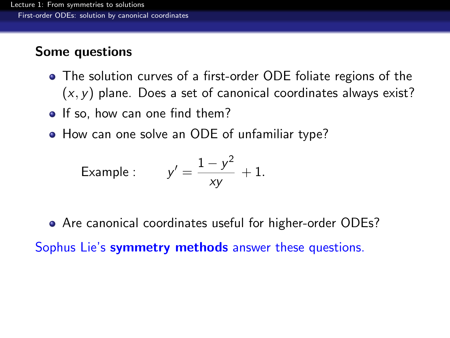## Some questions

- The solution curves of a first-order ODE foliate regions of the  $(x, y)$  plane. Does a set of canonical coordinates always exist?
- If so, how can one find them?
- How can one solve an ODE of unfamiliar type?

Example : 
$$
y' = \frac{1 - y^2}{xy} + 1.
$$

Are canonical coordinates useful for higher-order ODEs?

<span id="page-5-0"></span>Sophus Lie's **symmetry methods** answer these questions.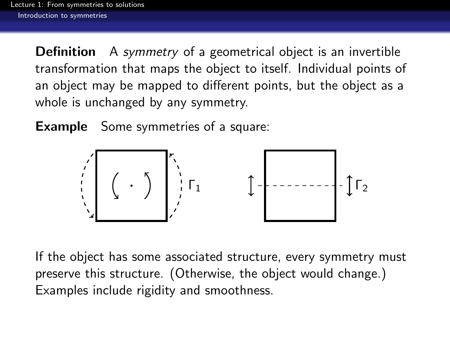**Definition** A symmetry of a geometrical object is an invertible transformation that maps the object to itself. Individual points of an object may be mapped to different points, but the object as a whole is unchanged by any symmetry.

**Example** Some symmetries of a square:



<span id="page-6-0"></span>If the object has some associated structure, every symmetry must preserve this structure. (Otherwise, the object would change.) Examples include rigidity and smoothness.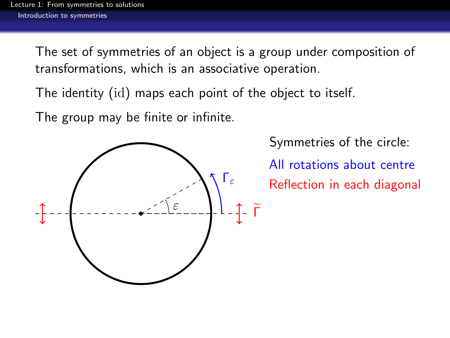The set of symmetries of an object is a group under composition of transformations, which is an associative operation.

The identity (id) maps each point of the object to itself.

The group may be finite or infinite.

<span id="page-7-0"></span>

Symmetries of the circle:

All rotations about centre Reflection in each diagonal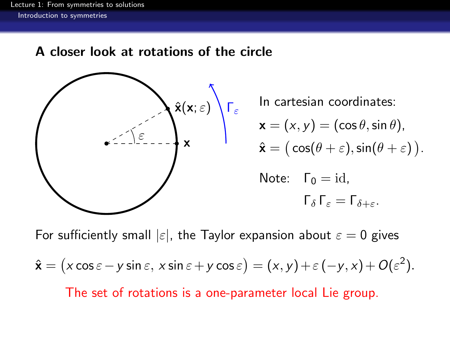#### A closer look at rotations of the circle



 $\hat{\mathbf{x}}(\mathbf{x};\varepsilon) \setminus \mathsf{\Gamma}_{\varepsilon}$  In cartesian coordinates:  $\mathbf{x}=(x,y)=(\cos\theta,\sin\theta),$ 

$$
\hat{\mathbf{x}} = (\cos(\theta + \varepsilon), \sin(\theta + \varepsilon)).
$$

Note: 
$$
\Gamma_0 = id
$$
,  
 $\Gamma_{\delta} \Gamma_{\epsilon} = \Gamma_{\delta + \epsilon}$ .

<span id="page-8-0"></span>For sufficiently small  $|\varepsilon|$ , the Taylor expansion about  $\varepsilon = 0$  gives  $\hat{\mathbf{x}} = (x \cos \varepsilon - y \sin \varepsilon, x \sin \varepsilon + y \cos \varepsilon) = (x, y) + \varepsilon (-y, x) + O(\varepsilon^2).$ The set of rotations is a one-parameter local Lie group.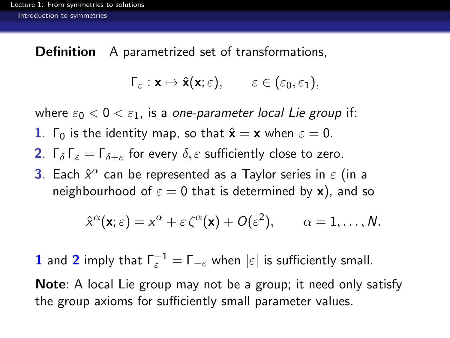Definition A parametrized set of transformations.

$$
\Gamma_{\varepsilon}: \mathbf{x} \mapsto \hat{\mathbf{x}}(\mathbf{x}; \varepsilon), \qquad \varepsilon \in (\varepsilon_0, \varepsilon_1),
$$

where  $\varepsilon_0 < 0 < \varepsilon_1$ , is a one-parameter local Lie group if:

- 1.  $\Gamma_0$  is the identity map, so that  $\hat{\mathbf{x}} = \mathbf{x}$  when  $\varepsilon = 0$ .
- **2.** Γ<sub>δ</sub> Γ<sub>ε</sub> = Γ<sub>δ+ε</sub> for every  $\delta$ , ε sufficiently close to zero.
- **3**. Each  $\hat{x}^{\alpha}$  can be represented as a Taylor series in  $\varepsilon$  (in a neighbourhood of  $\varepsilon = 0$  that is determined by x), and so

$$
\hat{x}^{\alpha}(\mathbf{x};\varepsilon)=x^{\alpha}+\varepsilon\,\zeta^{\alpha}(\mathbf{x})+O(\varepsilon^2),\qquad \alpha=1,\ldots,N.
$$

**1** and **2** imply that  $\Gamma_{\varepsilon}^{-1} = \Gamma_{-\varepsilon}$  when  $|\varepsilon|$  is sufficiently small.

<span id="page-9-0"></span>Note: A local Lie group may not be a group; it need only satisfy the group axioms for sufficiently small parameter values.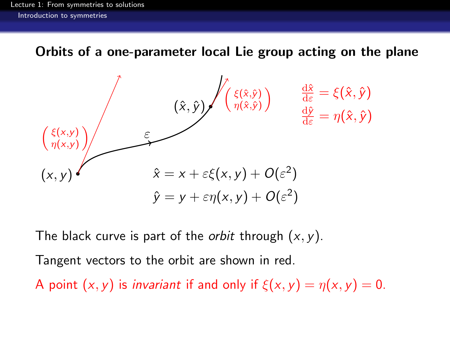Orbits of a one-parameter local Lie group acting on the plane



The black curve is part of the *orbit* through  $(x, y)$ .

Tangent vectors to the orbit are shown in red.

<span id="page-10-0"></span>A point  $(x, y)$  is *invariant* if and only if  $\xi(x, y) = \eta(x, y) = 0$ .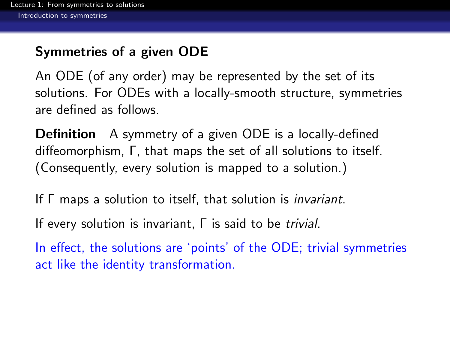## Symmetries of a given ODE

An ODE (of any order) may be represented by the set of its solutions. For ODEs with a locally-smooth structure, symmetries are defined as follows.

**Definition** A symmetry of a given ODE is a locally-defined diffeomorphism, Γ, that maps the set of all solutions to itself. (Consequently, every solution is mapped to a solution.)

If Γ maps a solution to itself, that solution is invariant.

If every solution is invariant, Γ is said to be trivial.

<span id="page-11-0"></span>In effect, the solutions are 'points' of the ODE; trivial symmetries act like the identity transformation.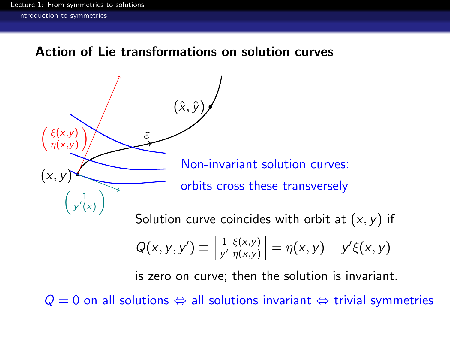#### Action of Lie transformations on solution curves

 $(x, y)$  $\sqrt{ }$  $\xi(x,y)$  $\eta(x,y)$  $\setminus$ ε  $(\hat{x}, \hat{y})$ Non-invariant solution curves: orbits cross these transversely 1 y  $\overline{a}$ (x)  $\setminus$ Solution curve coincides with orbit at  $(x, y)$  if

$$
Q(x, y, y') \equiv \begin{vmatrix} 1 & \xi(x, y) \\ y' & \eta(x, y) \end{vmatrix} = \eta(x, y) - y'\xi(x, y)
$$

is zero on curve; then the solution is invariant.

<span id="page-12-0"></span> $Q = 0$  on all solutions  $\Leftrightarrow$  all solutions invariant  $\Leftrightarrow$  trivial symmetries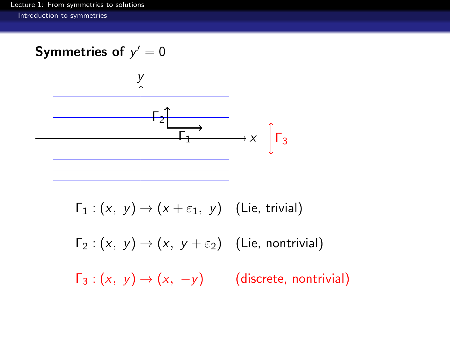## Symmetries of  $y'=0$



 $\Gamma_2$  :  $(x, y) \rightarrow (x, y + \varepsilon_2)$  (Lie, nontrivial)

<span id="page-13-0"></span> $\Gamma_3$  :  $(x, y) \rightarrow (x, -y)$  (discrete, nontrivial)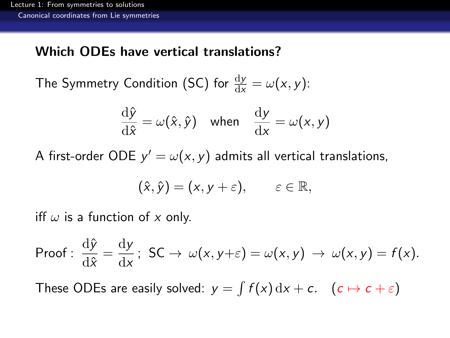#### Which ODEs have vertical translations?

The Symmetry Condition (SC) for  $\frac{dy}{dx} = \omega(x, y)$ :

$$
\frac{\mathrm{d}\hat{y}}{\mathrm{d}\hat{x}} = \omega(\hat{x}, \hat{y}) \quad \text{when} \quad \frac{\mathrm{d}y}{\mathrm{d}x} = \omega(x, y)
$$

A first-order ODE  $y' = \omega(x, y)$  admits all vertical translations,

$$
(\hat{x},\hat{y})=(x,y+\varepsilon),\qquad \varepsilon\in\mathbb{R},
$$

iff  $\omega$  is a function of x only.

Proof: 
$$
\frac{d\hat{y}}{d\hat{x}} = \frac{dy}{dx}
$$
; SC  $\rightarrow \omega(x, y + \varepsilon) = \omega(x, y) \rightarrow \omega(x, y) = f(x)$ .

<span id="page-14-0"></span>These ODEs are easily solved:  $y = \int f(x) dx + c$ .  $(c \mapsto c + \varepsilon)$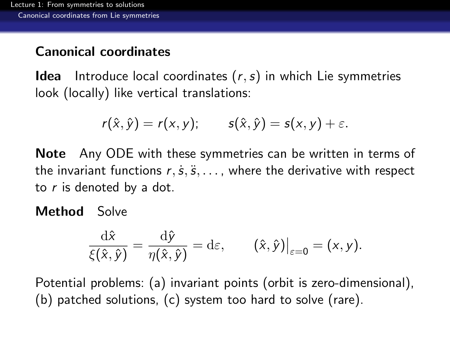## Canonical coordinates

**Idea** Introduce local coordinates  $(r, s)$  in which Lie symmetries look (locally) like vertical translations:

$$
r(\hat{x},\hat{y})=r(x,y); \qquad s(\hat{x},\hat{y})=s(x,y)+\varepsilon.
$$

Note Any ODE with these symmetries can be written in terms of the invariant functions  $r, \dot{s}, \ddot{s}, \ldots$ , where the derivative with respect to  $r$  is denoted by a dot.

#### Method Solve

$$
\frac{\mathrm{d}\hat{x}}{\xi(\hat{x},\hat{y})} = \frac{\mathrm{d}\hat{y}}{\eta(\hat{x},\hat{y})} = \mathrm{d}\varepsilon, \qquad (\hat{x},\hat{y})\big|_{\varepsilon=0} = (x,y).
$$

<span id="page-15-0"></span>Potential problems: (a) invariant points (orbit is zero-dimensional), (b) patched solutions, (c) system too hard to solve (rare).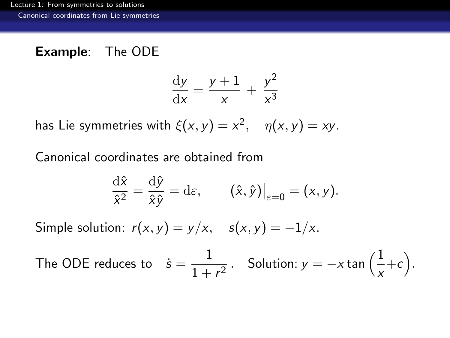## Example: The ODE

$$
\frac{\mathrm{d}y}{\mathrm{d}x} = \frac{y+1}{x} + \frac{y^2}{x^3}
$$

has Lie symmetries with  $\xi(x, y) = x^2$ ,  $\eta(x, y) = xy$ .

Canonical coordinates are obtained from

$$
\frac{\mathrm{d}\hat{x}}{\hat{x}^2} = \frac{\mathrm{d}\hat{y}}{\hat{x}\hat{y}} = \mathrm{d}\varepsilon, \qquad (\hat{x}, \hat{y})\big|_{\varepsilon=0} = (x, y).
$$

Simple solution:  $r(x, y) = y/x$ ,  $s(x, y) = -1/x$ .

<span id="page-16-0"></span>The ODE reduces to 
$$
\dot{s} = \frac{1}{1+r^2}
$$
. Solution:  $y = -x \tan\left(\frac{1}{x} + c\right)$ .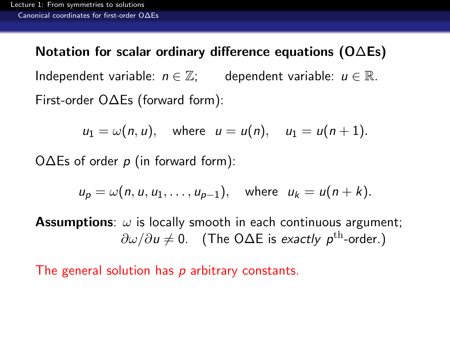Notation for scalar ordinary difference equations (O∆Es) Independent variable:  $n \in \mathbb{Z}$ ; dependent variable:  $u \in \mathbb{R}$ . First-order O∆Es (forward form):

$$
u_1 = \omega(n, u), \quad \text{where} \quad u = u(n), \quad u_1 = u(n+1).
$$

O $\Delta$ Es of order p (in forward form):

$$
u_p = \omega(n, u, u_1, \dots, u_{p-1}), \quad \text{where} \quad u_k = u(n+k).
$$

**Assumptions:**  $\omega$  is locally smooth in each continuous argument;  $\partial \omega / \partial u \neq 0$ . (The O $\Delta E$  is exactly p<sup>th</sup>-order.)

<span id="page-17-0"></span>The general solution has p arbitrary constants.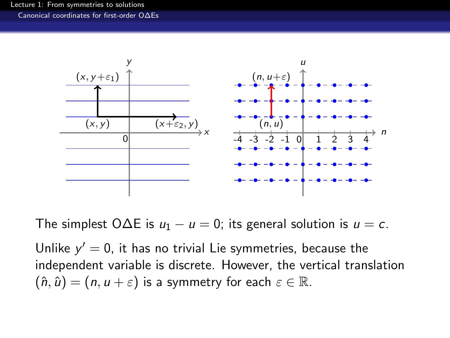

The simplest O $\Delta E$  is  $u_1 - u = 0$ ; its general solution is  $u = c$ .

<span id="page-18-0"></span>Unlike  $y' = 0$ , it has no trivial Lie symmetries, because the independent variable is discrete. However, the vertical translation  $(\hat{n}, \hat{u}) = (n, u + \varepsilon)$  is a symmetry for each  $\varepsilon \in \mathbb{R}$ .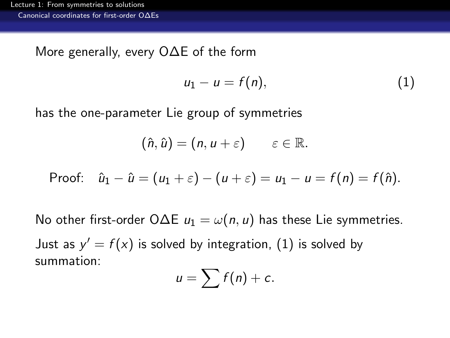More generally, every O∆E of the form

<span id="page-19-1"></span>
$$
u_1-u=f(n), \qquad (1)
$$

has the one-parameter Lie group of symmetries

$$
(\hat{n},\hat{u})=(n,u+\varepsilon)\qquad \varepsilon\in\mathbb{R}.
$$

Proof: 
$$
\hat{u}_1 - \hat{u} = (u_1 + \varepsilon) - (u + \varepsilon) = u_1 - u = f(n) = f(\hat{n}).
$$

<span id="page-19-0"></span>No other first-order O $\Delta E$   $u_1 = \omega(n, u)$  has these Lie symmetries. Just as  $y' = f(x)$  is solved by integration,  $(1)$  is solved by summation:

$$
u=\sum f(n)+c.
$$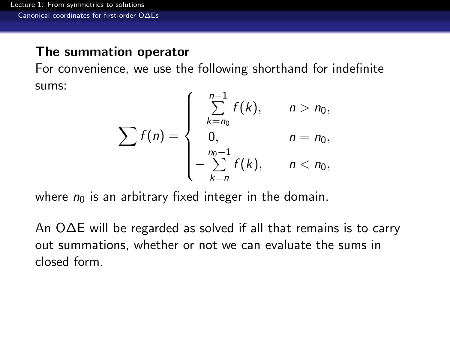#### The summation operator

For convenience, we use the following shorthand for indefinite sums:

$$
\sum f(n) = \begin{cases}\n\sum_{k=n_0}^{n-1} f(k), & n > n_0, \\
0, & n = n_0, \\
-\sum_{k=n}^{n_0-1} f(k), & n < n_0,\n\end{cases}
$$

where  $n_0$  is an arbitrary fixed integer in the domain.

<span id="page-20-0"></span>An O∆E will be regarded as solved if all that remains is to carry out summations, whether or not we can evaluate the sums in closed form.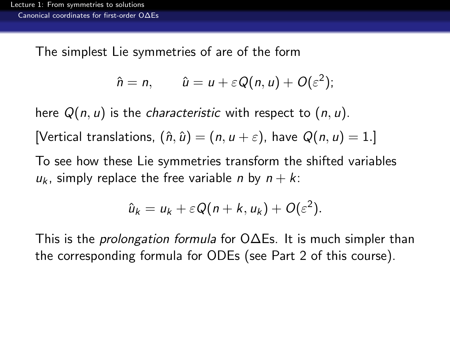The simplest Lie symmetries of are of the form

$$
\hat{n} = n, \qquad \hat{u} = u + \varepsilon Q(n, u) + O(\varepsilon^2);
$$

here  $Q(n, u)$  is the *characteristic* with respect to  $(n, u)$ . [Vertical translations,  $(\hat{n}, \hat{u}) = (n, u + \varepsilon)$ , have  $Q(n, u) = 1$ .] To see how these Lie symmetries transform the shifted variables

 $u_k$ , simply replace the free variable *n* by  $n + k$ .

$$
\hat{u}_k = u_k + \varepsilon Q(n+k, u_k) + O(\varepsilon^2).
$$

<span id="page-21-0"></span>This is the prolongation formula for O∆Es. It is much simpler than the corresponding formula for ODEs (see Part 2 of this course).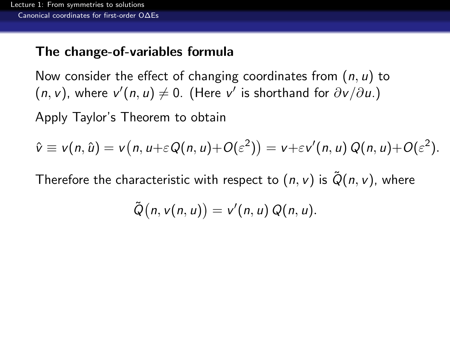### The change-of-variables formula

Now consider the effect of changing coordinates from  $(n, u)$  to  $(n, v)$ , where  $v'(n, u) \neq 0$ . (Here v' is shorthand for  $\partial v/\partial u$ .)

Apply Taylor's Theorem to obtain

$$
\hat{v} \equiv v(n, \hat{u}) = v(n, u + \varepsilon Q(n, u) + O(\varepsilon^2)) = v + \varepsilon v'(n, u) Q(n, u) + O(\varepsilon^2).
$$

<span id="page-22-0"></span>Therefore the characteristic with respect to  $(n, v)$  is  $\tilde{Q}(n, v)$ , where

$$
\tilde{Q}(n, v(n, u)) = v'(n, u) Q(n, u).
$$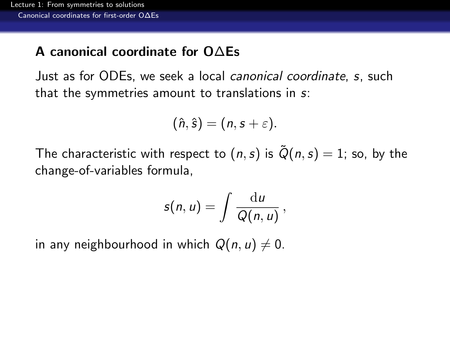## A canonical coordinate for O∆Es

Just as for ODEs, we seek a local canonical coordinate, s, such that the symmetries amount to translations in s:

$$
(\hat{n},\hat{s})=(n,s+\varepsilon).
$$

The characteristic with respect to  $(n, s)$  is  $\tilde{Q}(n, s) = 1$ ; so, by the change-of-variables formula,

$$
s(n,u)=\int\frac{\mathrm{d}u}{Q(n,u)},
$$

<span id="page-23-0"></span>in any neighbourhood in which  $Q(n, u) \neq 0$ .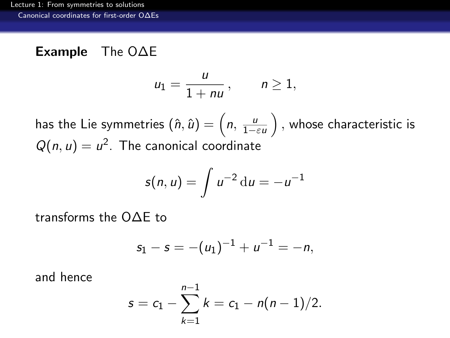### Example The O∆E

$$
u_1=\frac{u}{1+nu}, \qquad n\geq 1,
$$

has the Lie symmetries  $(\hat{n},\hat{u})=\left(n,\frac{u}{1-\varepsilon u}\right),$  whose characteristic is  $Q(n, u) = u^2$ . The canonical coordinate

$$
s(n, u) = \int u^{-2} \, \mathrm{d}u = -u^{-1}
$$

transforms the O∆E to

$$
s_1 - s = -(u_1)^{-1} + u^{-1} = -n,
$$

<span id="page-24-0"></span>and hence

$$
s = c_1 - \sum_{k=1}^{n-1} k = c_1 - n(n-1)/2.
$$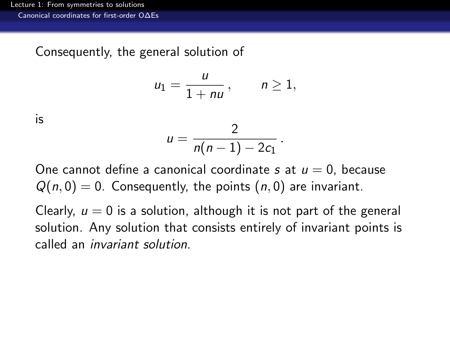Consequently, the general solution of

$$
u_1=\frac{u}{1+nu}, \qquad n\geq 1,
$$

is

$$
u=\frac{2}{n(n-1)-2c_1}.
$$

One cannot define a canonical coordinate s at  $u = 0$ , because  $Q(n, 0) = 0$ . Consequently, the points  $(n, 0)$  are invariant.

<span id="page-25-0"></span>Clearly,  $u = 0$  is a solution, although it is not part of the general solution. Any solution that consists entirely of invariant points is called an invariant solution.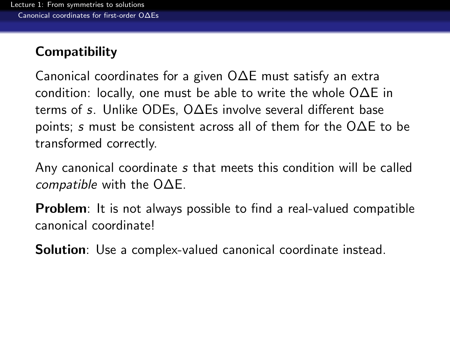## **Compatibility**

Canonical coordinates for a given O∆E must satisfy an extra condition: locally, one must be able to write the whole O∆E in terms of s. Unlike ODEs, O∆Es involve several different base points; s must be consistent across all of them for the O∆E to be transformed correctly.

Any canonical coordinate s that meets this condition will be called *compatible* with the  $O\Delta E$ .

**Problem**: It is not always possible to find a real-valued compatible canonical coordinate!

<span id="page-26-0"></span>Solution: Use a complex-valued canonical coordinate instead.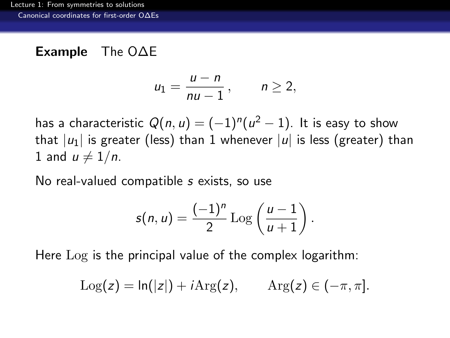## Example The O∆E

$$
u_1=\frac{u-n}{nu-1}, \qquad n\geq 2,
$$

has a characteristic  $Q(n,u)=(-1)^n(u^2-1).$  It is easy to show that  $|u_1|$  is greater (less) than 1 whenever  $|u|$  is less (greater) than 1 and  $u \neq 1/n$ .

No real-valued compatible s exists, so use

$$
s(n, u) = \frac{(-1)^n}{2} \operatorname{Log} \left( \frac{u-1}{u+1} \right).
$$

<span id="page-27-0"></span>Here Log is the principal value of the complex logarithm:

$$
Log(z) = ln(|z|) + iArg(z), \qquad Arg(z) \in (-\pi, \pi].
$$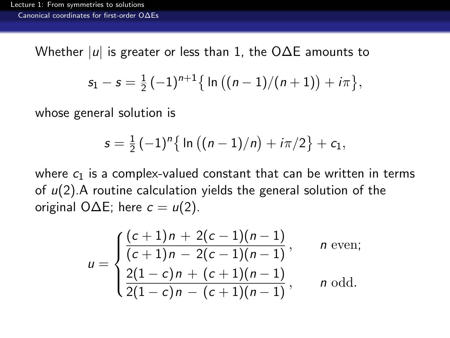Whether  $|u|$  is greater or less than 1, the O $\Delta$ E amounts to

$$
s_1 - s = \frac{1}{2}(-1)^{n+1} \{ \ln ((n-1)/(n+1)) + i\pi \},\
$$

whose general solution is

$$
s = \frac{1}{2} (-1)^n \{ \ln ((n-1)/n) + i\pi/2 \} + c_1,
$$

where  $c_1$  is a complex-valued constant that can be written in terms of  $u(2)$ . A routine calculation yields the general solution of the original O $\Delta E$ ; here  $c = u(2)$ .

<span id="page-28-0"></span>
$$
u = \begin{cases} \frac{(c+1)n + 2(c-1)(n-1)}{(c+1)n - 2(c-1)(n-1)}, & n \text{ even;}\\ \frac{2(1-c)n + (c+1)(n-1)}{2(1-c)n - (c+1)(n-1)}, & n \text{ odd.} \end{cases}
$$